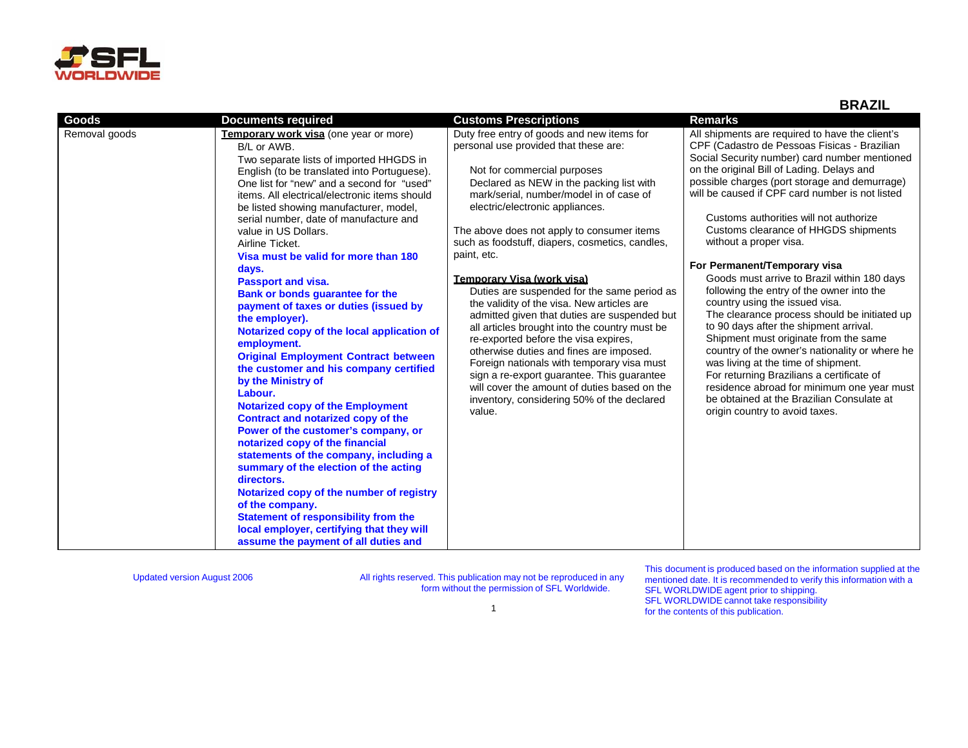

**BRAZIL**

| Goods         | <b>Documents required</b>                                                                                                                                                                                                                                                                                                                                                                                                                                                                                                                                                                                                                                                                                                                                                                                                                                                                                                                                                                                                                                                                                                                                                                                       | <b>Customs Prescriptions</b>                                                                                                                                                                                                                                                                                                                                                                                                                                                                                                                                                                                                                                                                                                                                                                                                                                                           | <b>Remarks</b>                                                                                                                                                                                                                                                                                                                                                                                                                                                                                                                                                                                                                                                                                                                                                                                                                                                                                                                                                                     |
|---------------|-----------------------------------------------------------------------------------------------------------------------------------------------------------------------------------------------------------------------------------------------------------------------------------------------------------------------------------------------------------------------------------------------------------------------------------------------------------------------------------------------------------------------------------------------------------------------------------------------------------------------------------------------------------------------------------------------------------------------------------------------------------------------------------------------------------------------------------------------------------------------------------------------------------------------------------------------------------------------------------------------------------------------------------------------------------------------------------------------------------------------------------------------------------------------------------------------------------------|----------------------------------------------------------------------------------------------------------------------------------------------------------------------------------------------------------------------------------------------------------------------------------------------------------------------------------------------------------------------------------------------------------------------------------------------------------------------------------------------------------------------------------------------------------------------------------------------------------------------------------------------------------------------------------------------------------------------------------------------------------------------------------------------------------------------------------------------------------------------------------------|------------------------------------------------------------------------------------------------------------------------------------------------------------------------------------------------------------------------------------------------------------------------------------------------------------------------------------------------------------------------------------------------------------------------------------------------------------------------------------------------------------------------------------------------------------------------------------------------------------------------------------------------------------------------------------------------------------------------------------------------------------------------------------------------------------------------------------------------------------------------------------------------------------------------------------------------------------------------------------|
| Removal goods | Temporary work visa (one year or more)<br>B/L or AWB.<br>Two separate lists of imported HHGDS in<br>English (to be translated into Portuguese).<br>One list for "new" and a second for "used"<br>items. All electrical/electronic items should<br>be listed showing manufacturer, model,<br>serial number, date of manufacture and<br>value in US Dollars.<br>Airline Ticket.<br>Visa must be valid for more than 180<br>days.<br><b>Passport and visa.</b><br>Bank or bonds guarantee for the<br>payment of taxes or duties (issued by<br>the employer).<br>Notarized copy of the local application of<br>employment.<br><b>Original Employment Contract between</b><br>the customer and his company certified<br>by the Ministry of<br>Labour.<br><b>Notarized copy of the Employment</b><br>Contract and notarized copy of the<br>Power of the customer's company, or<br>notarized copy of the financial<br>statements of the company, including a<br>summary of the election of the acting<br>directors.<br>Notarized copy of the number of registry<br>of the company.<br><b>Statement of responsibility from the</b><br>local employer, certifying that they will<br>assume the payment of all duties and | Duty free entry of goods and new items for<br>personal use provided that these are:<br>Not for commercial purposes<br>Declared as NEW in the packing list with<br>mark/serial, number/model in of case of<br>electric/electronic appliances.<br>The above does not apply to consumer items<br>such as foodstuff, diapers, cosmetics, candles,<br>paint, etc.<br><b>Temporary Visa (work visa)</b><br>Duties are suspended for the same period as<br>the validity of the visa. New articles are<br>admitted given that duties are suspended but<br>all articles brought into the country must be<br>re-exported before the visa expires,<br>otherwise duties and fines are imposed.<br>Foreign nationals with temporary visa must<br>sign a re-export guarantee. This guarantee<br>will cover the amount of duties based on the<br>inventory, considering 50% of the declared<br>value. | All shipments are required to have the client's<br>CPF (Cadastro de Pessoas Fisicas - Brazilian<br>Social Security number) card number mentioned<br>on the original Bill of Lading. Delays and<br>possible charges (port storage and demurrage)<br>will be caused if CPF card number is not listed<br>Customs authorities will not authorize<br>Customs clearance of HHGDS shipments<br>without a proper visa.<br>For Permanent/Temporary visa<br>Goods must arrive to Brazil within 180 days<br>following the entry of the owner into the<br>country using the issued visa.<br>The clearance process should be initiated up<br>to 90 days after the shipment arrival.<br>Shipment must originate from the same<br>country of the owner's nationality or where he<br>was living at the time of shipment.<br>For returning Brazilians a certificate of<br>residence abroad for minimum one year must<br>be obtained at the Brazilian Consulate at<br>origin country to avoid taxes. |

Updated version August 2006 All rights reserved. This publication may not be reproduced in any form without the permission of SFL Worldwide.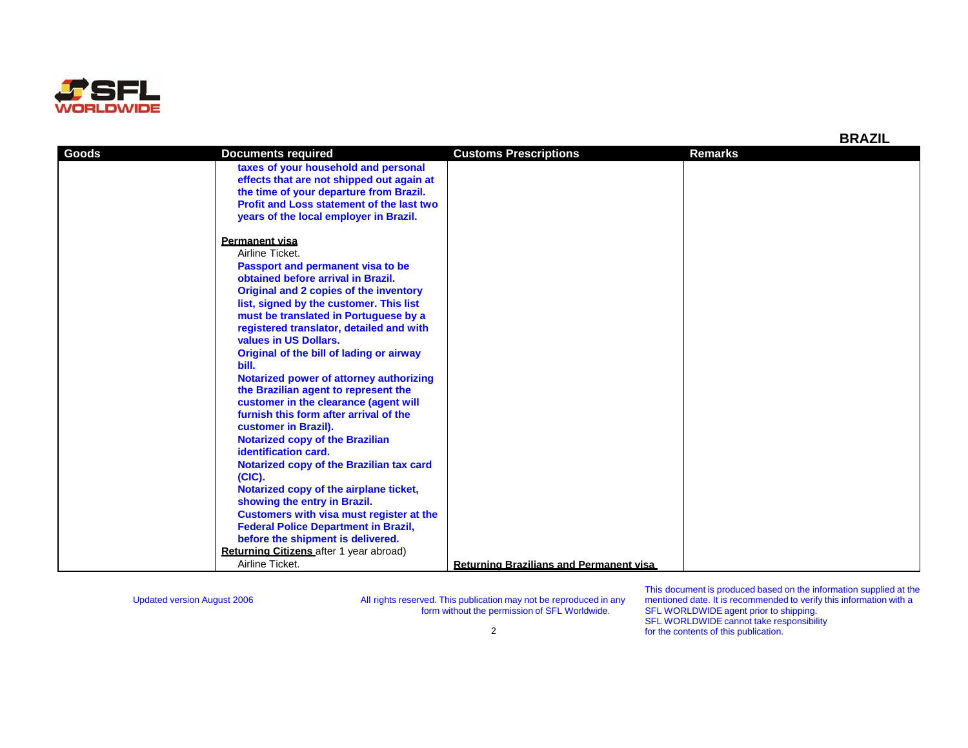

| Goods | <b>Documents required</b>                        | <b>Customs Prescriptions</b>                   | <b>Remarks</b> |
|-------|--------------------------------------------------|------------------------------------------------|----------------|
|       | taxes of your household and personal             |                                                |                |
|       | effects that are not shipped out again at        |                                                |                |
|       | the time of your departure from Brazil.          |                                                |                |
|       | <b>Profit and Loss statement of the last two</b> |                                                |                |
|       | years of the local employer in Brazil.           |                                                |                |
|       |                                                  |                                                |                |
|       | <b>Permanent visa</b>                            |                                                |                |
|       | Airline Ticket.                                  |                                                |                |
|       | Passport and permanent visa to be                |                                                |                |
|       | obtained before arrival in Brazil.               |                                                |                |
|       | Original and 2 copies of the inventory           |                                                |                |
|       | list, signed by the customer. This list          |                                                |                |
|       | must be translated in Portuguese by a            |                                                |                |
|       | registered translator, detailed and with         |                                                |                |
|       | values in US Dollars.                            |                                                |                |
|       | Original of the bill of lading or airway         |                                                |                |
|       | bill.                                            |                                                |                |
|       | Notarized power of attorney authorizing          |                                                |                |
|       | the Brazilian agent to represent the             |                                                |                |
|       | customer in the clearance (agent will            |                                                |                |
|       | furnish this form after arrival of the           |                                                |                |
|       | customer in Brazil).                             |                                                |                |
|       | <b>Notarized copy of the Brazilian</b>           |                                                |                |
|       | identification card.                             |                                                |                |
|       | Notarized copy of the Brazilian tax card         |                                                |                |
|       | $(CIC)$ .                                        |                                                |                |
|       | Notarized copy of the airplane ticket,           |                                                |                |
|       | showing the entry in Brazil.                     |                                                |                |
|       | Customers with visa must register at the         |                                                |                |
|       | <b>Federal Police Department in Brazil,</b>      |                                                |                |
|       | before the shipment is delivered.                |                                                |                |
|       | Returning Citizens after 1 year abroad)          |                                                |                |
|       | Airline Ticket.                                  | <b>Returning Brazilians and Permanent visa</b> |                |

This document is produced based on the information supplied at the mentioned date. It is recommended to verify this information with a SFL WORLDWIDE agent prior to shipping. SFL WORLDWIDE cannot take responsibility for the contents of this publication.

2

**BRAZIL**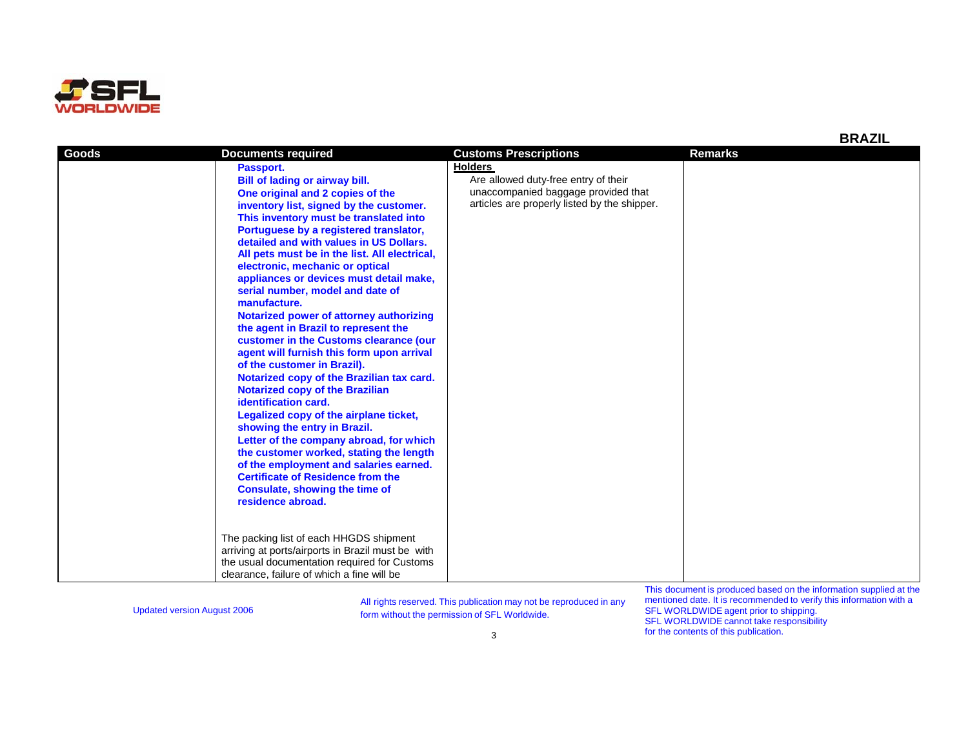

**Goods**

| Passport.                                     | <b>Holders</b>                               |
|-----------------------------------------------|----------------------------------------------|
| Bill of lading or airway bill.                | Are allowed duty-free entry of their         |
| One original and 2 copies of the              | unaccompanied baggage provided that          |
| inventory list, signed by the customer.       | articles are properly listed by the shipper. |
| This inventory must be translated into        |                                              |
| Portuguese by a registered translator,        |                                              |
| detailed and with values in US Dollars.       |                                              |
| All pets must be in the list. All electrical, |                                              |
| electronic, mechanic or optical               |                                              |
| appliances or devices must detail make,       |                                              |
| serial number, model and date of              |                                              |
| manufacture.                                  |                                              |
| Notarized power of attorney authorizing       |                                              |
| the agent in Brazil to represent the          |                                              |
| customer in the Customs clearance (our        |                                              |
| agent will furnish this form upon arrival     |                                              |
| of the customer in Brazil).                   |                                              |
| Notarized copy of the Brazilian tax card.     |                                              |
| <b>Notarized copy of the Brazilian</b>        |                                              |
| identification card.                          |                                              |
| Legalized copy of the airplane ticket,        |                                              |
| showing the entry in Brazil.                  |                                              |

Updated version August 2006 All rights reserved. This publication may not be reproduced in any Updated version August 2006 FL Worldwide.

**Documents required Customs Prescriptions Remarks**

**Letter of the company abroad, for which the customer worked, stating the length of the employment and salaries earned. Certificate of Residence from the Consulate, showing the time of** 

The packing list of each HHGDS shipment arriving at ports/airports in Brazil must be with the usual documentation required for Customs clearance, failure of which a fine will be

**residence abroad.**

This document is produced based on the information supplied at the mentioned date. It is recommended to verify this information with a SFL WORLDWIDE agent prior to shipping. SFL WORLDWIDE cannot take responsibility for the contents of this publication.

**BRAZIL**

3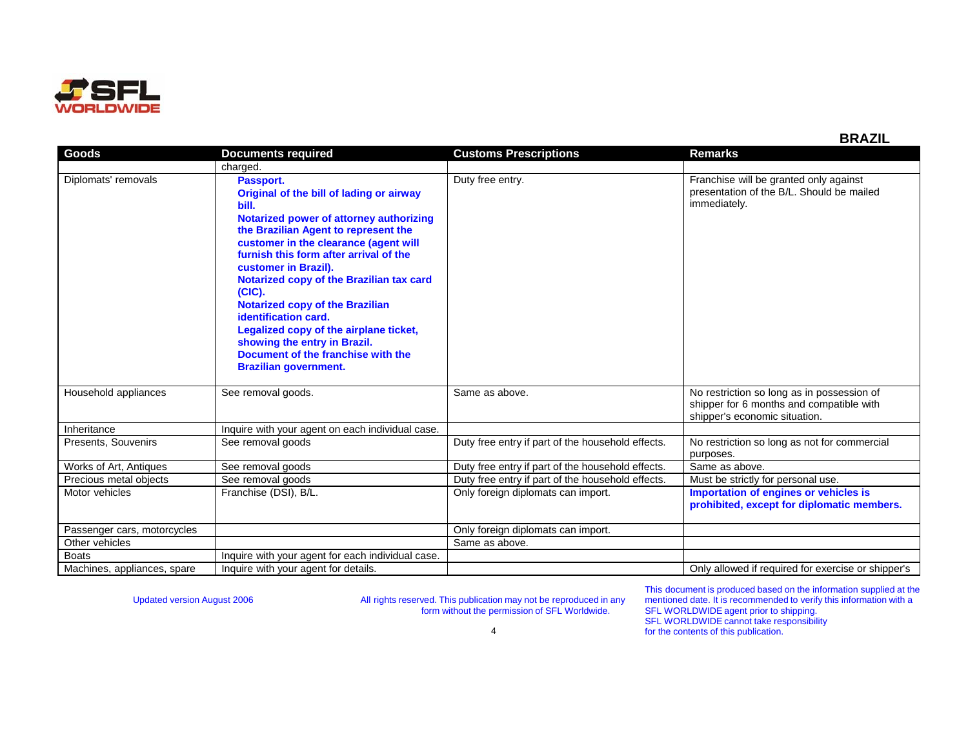

|                             |                                                                                                                                                                                                                                                                                                                                                                                                                                                                                                                                         |                                                   | PI\ALIL                                                                                                                 |
|-----------------------------|-----------------------------------------------------------------------------------------------------------------------------------------------------------------------------------------------------------------------------------------------------------------------------------------------------------------------------------------------------------------------------------------------------------------------------------------------------------------------------------------------------------------------------------------|---------------------------------------------------|-------------------------------------------------------------------------------------------------------------------------|
| Goods                       | <b>Documents required</b>                                                                                                                                                                                                                                                                                                                                                                                                                                                                                                               | <b>Customs Prescriptions</b>                      | <b>Remarks</b>                                                                                                          |
|                             | charged.                                                                                                                                                                                                                                                                                                                                                                                                                                                                                                                                |                                                   |                                                                                                                         |
| Diplomats' removals         | Passport.<br>Original of the bill of lading or airway<br>bill.<br>Notarized power of attorney authorizing<br>the Brazilian Agent to represent the<br>customer in the clearance (agent will<br>furnish this form after arrival of the<br>customer in Brazil).<br>Notarized copy of the Brazilian tax card<br>$(CIC)$ .<br><b>Notarized copy of the Brazilian</b><br>identification card.<br>Legalized copy of the airplane ticket,<br>showing the entry in Brazil.<br>Document of the franchise with the<br><b>Brazilian government.</b> | Duty free entry.                                  | Franchise will be granted only against<br>presentation of the B/L. Should be mailed<br>immediately.                     |
| Household appliances        | See removal goods.                                                                                                                                                                                                                                                                                                                                                                                                                                                                                                                      | Same as above.                                    | No restriction so long as in possession of<br>shipper for 6 months and compatible with<br>shipper's economic situation. |
| Inheritance                 | Inquire with your agent on each individual case.                                                                                                                                                                                                                                                                                                                                                                                                                                                                                        |                                                   |                                                                                                                         |
| Presents, Souvenirs         | See removal goods                                                                                                                                                                                                                                                                                                                                                                                                                                                                                                                       | Duty free entry if part of the household effects. | No restriction so long as not for commercial<br>purposes.                                                               |
| Works of Art, Antiques      | See removal goods                                                                                                                                                                                                                                                                                                                                                                                                                                                                                                                       | Duty free entry if part of the household effects. | Same as above.                                                                                                          |
| Precious metal objects      | See removal goods                                                                                                                                                                                                                                                                                                                                                                                                                                                                                                                       | Duty free entry if part of the household effects. | Must be strictly for personal use.                                                                                      |
| Motor vehicles              | Franchise (DSI), B/L.                                                                                                                                                                                                                                                                                                                                                                                                                                                                                                                   | Only foreign diplomats can import.                | Importation of engines or vehicles is<br>prohibited, except for diplomatic members.                                     |
| Passenger cars, motorcycles |                                                                                                                                                                                                                                                                                                                                                                                                                                                                                                                                         | Only foreign diplomats can import.                |                                                                                                                         |
| Other vehicles              |                                                                                                                                                                                                                                                                                                                                                                                                                                                                                                                                         | Same as above.                                    |                                                                                                                         |
| <b>Boats</b>                | Inquire with your agent for each individual case.                                                                                                                                                                                                                                                                                                                                                                                                                                                                                       |                                                   |                                                                                                                         |
| Machines, appliances, spare | Inquire with your agent for details.                                                                                                                                                                                                                                                                                                                                                                                                                                                                                                    |                                                   | Only allowed if required for exercise or shipper's                                                                      |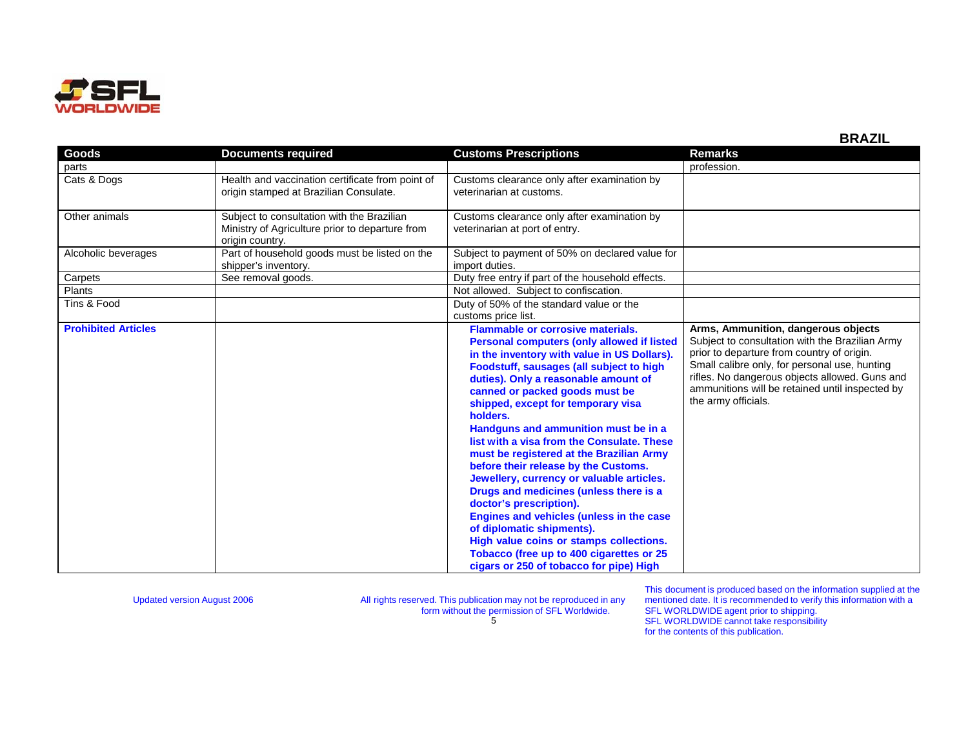

|                            |                                                                                                                  |                                                                                                                                                                                                                                                                                                                                                                                                                                                                                                                                                                                                                                                                                                                                                                                                                             | ᄓᇧᄼ                                                                                                                                                                                                                                                                                                               |
|----------------------------|------------------------------------------------------------------------------------------------------------------|-----------------------------------------------------------------------------------------------------------------------------------------------------------------------------------------------------------------------------------------------------------------------------------------------------------------------------------------------------------------------------------------------------------------------------------------------------------------------------------------------------------------------------------------------------------------------------------------------------------------------------------------------------------------------------------------------------------------------------------------------------------------------------------------------------------------------------|-------------------------------------------------------------------------------------------------------------------------------------------------------------------------------------------------------------------------------------------------------------------------------------------------------------------|
| Goods                      | <b>Documents required</b>                                                                                        | <b>Customs Prescriptions</b>                                                                                                                                                                                                                                                                                                                                                                                                                                                                                                                                                                                                                                                                                                                                                                                                | <b>Remarks</b>                                                                                                                                                                                                                                                                                                    |
| parts                      |                                                                                                                  |                                                                                                                                                                                                                                                                                                                                                                                                                                                                                                                                                                                                                                                                                                                                                                                                                             | profession.                                                                                                                                                                                                                                                                                                       |
| Cats & Dogs                | Health and vaccination certificate from point of<br>origin stamped at Brazilian Consulate.                       | Customs clearance only after examination by<br>veterinarian at customs.                                                                                                                                                                                                                                                                                                                                                                                                                                                                                                                                                                                                                                                                                                                                                     |                                                                                                                                                                                                                                                                                                                   |
| Other animals              | Subject to consultation with the Brazilian<br>Ministry of Agriculture prior to departure from<br>origin country. | Customs clearance only after examination by<br>veterinarian at port of entry.                                                                                                                                                                                                                                                                                                                                                                                                                                                                                                                                                                                                                                                                                                                                               |                                                                                                                                                                                                                                                                                                                   |
| Alcoholic beverages        | Part of household goods must be listed on the<br>shipper's inventory.                                            | Subject to payment of 50% on declared value for<br>import duties.                                                                                                                                                                                                                                                                                                                                                                                                                                                                                                                                                                                                                                                                                                                                                           |                                                                                                                                                                                                                                                                                                                   |
| Carpets                    | See removal goods.                                                                                               | Duty free entry if part of the household effects.                                                                                                                                                                                                                                                                                                                                                                                                                                                                                                                                                                                                                                                                                                                                                                           |                                                                                                                                                                                                                                                                                                                   |
| Plants                     |                                                                                                                  | Not allowed. Subject to confiscation.                                                                                                                                                                                                                                                                                                                                                                                                                                                                                                                                                                                                                                                                                                                                                                                       |                                                                                                                                                                                                                                                                                                                   |
| Tins & Food                |                                                                                                                  | Duty of 50% of the standard value or the<br>customs price list.                                                                                                                                                                                                                                                                                                                                                                                                                                                                                                                                                                                                                                                                                                                                                             |                                                                                                                                                                                                                                                                                                                   |
| <b>Prohibited Articles</b> |                                                                                                                  | <b>Flammable or corrosive materials.</b><br><b>Personal computers (only allowed if listed</b><br>in the inventory with value in US Dollars).<br>Foodstuff, sausages (all subject to high<br>duties). Only a reasonable amount of<br>canned or packed goods must be<br>shipped, except for temporary visa<br>holders.<br>Handguns and ammunition must be in a<br>list with a visa from the Consulate. These<br>must be registered at the Brazilian Army<br>before their release by the Customs.<br>Jewellery, currency or valuable articles.<br>Drugs and medicines (unless there is a<br>doctor's prescription).<br>Engines and vehicles (unless in the case<br>of diplomatic shipments).<br>High value coins or stamps collections.<br>Tobacco (free up to 400 cigarettes or 25<br>cigars or 250 of tobacco for pipe) High | Arms, Ammunition, dangerous objects<br>Subject to consultation with the Brazilian Army<br>prior to departure from country of origin.<br>Small calibre only, for personal use, hunting<br>rifles. No dangerous objects allowed. Guns and<br>ammunitions will be retained until inspected by<br>the army officials. |

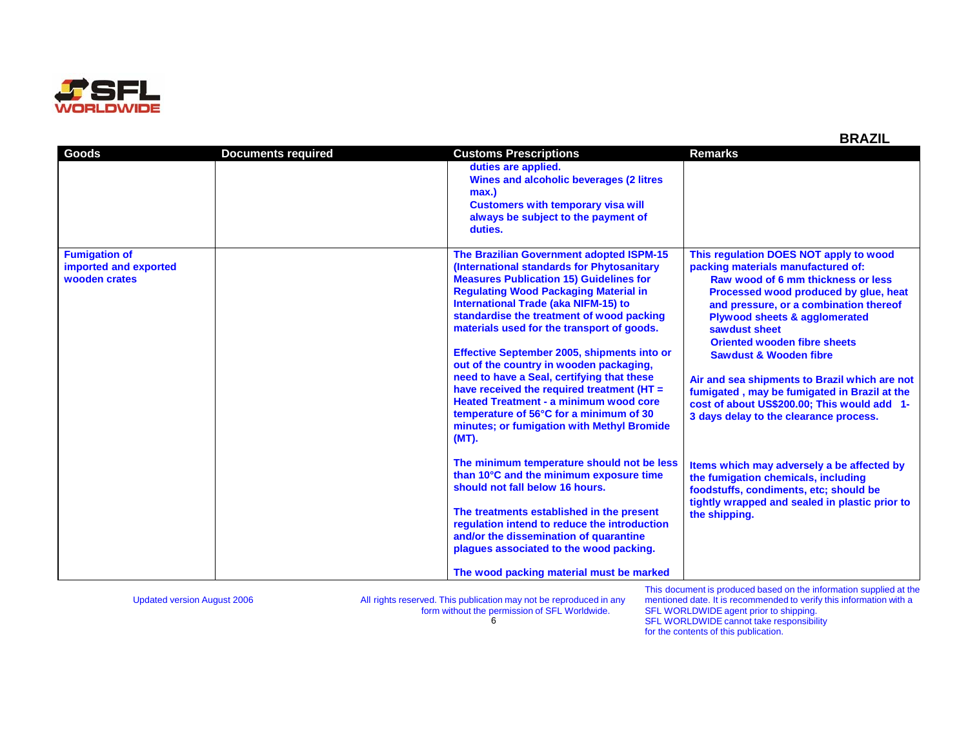

| Goods                                                          | <b>Documents required</b> | <b>Customs Prescriptions</b>                                                                                                                                                                                                                                                                                                                                                                                                                                                                                                                                                                                                                                                | <b>Remarks</b>                                                                                                                                                                                                                                                                                                                                                                                                                                                                                                                           |
|----------------------------------------------------------------|---------------------------|-----------------------------------------------------------------------------------------------------------------------------------------------------------------------------------------------------------------------------------------------------------------------------------------------------------------------------------------------------------------------------------------------------------------------------------------------------------------------------------------------------------------------------------------------------------------------------------------------------------------------------------------------------------------------------|------------------------------------------------------------------------------------------------------------------------------------------------------------------------------------------------------------------------------------------------------------------------------------------------------------------------------------------------------------------------------------------------------------------------------------------------------------------------------------------------------------------------------------------|
|                                                                |                           | duties are applied.<br>Wines and alcoholic beverages (2 litres<br>max.)<br><b>Customers with temporary visa will</b><br>always be subject to the payment of<br>duties.                                                                                                                                                                                                                                                                                                                                                                                                                                                                                                      |                                                                                                                                                                                                                                                                                                                                                                                                                                                                                                                                          |
| <b>Fumigation of</b><br>imported and exported<br>wooden crates |                           | The Brazilian Government adopted ISPM-15<br>(International standards for Phytosanitary<br><b>Measures Publication 15) Guidelines for</b><br><b>Regulating Wood Packaging Material in</b><br><b>International Trade (aka NIFM-15) to</b><br>standardise the treatment of wood packing<br>materials used for the transport of goods.<br>Effective September 2005, shipments into or<br>out of the country in wooden packaging,<br>need to have a Seal, certifying that these<br>have received the required treatment (HT =<br><b>Heated Treatment - a minimum wood core</b><br>temperature of 56°C for a minimum of 30<br>minutes; or fumigation with Methyl Bromide<br>(MT). | This regulation DOES NOT apply to wood<br>packing materials manufactured of:<br>Raw wood of 6 mm thickness or less<br>Processed wood produced by glue, heat<br>and pressure, or a combination thereof<br><b>Plywood sheets &amp; agglomerated</b><br>sawdust sheet<br><b>Oriented wooden fibre sheets</b><br><b>Sawdust &amp; Wooden fibre</b><br>Air and sea shipments to Brazil which are not<br>fumigated, may be fumigated in Brazil at the<br>cost of about US\$200.00; This would add 1-<br>3 days delay to the clearance process. |
|                                                                |                           | The minimum temperature should not be less<br>than 10°C and the minimum exposure time<br>should not fall below 16 hours.<br>The treatments established in the present<br>regulation intend to reduce the introduction<br>and/or the dissemination of quarantine<br>plaques associated to the wood packing.<br>The wood packing material must be marked                                                                                                                                                                                                                                                                                                                      | Items which may adversely a be affected by<br>the fumigation chemicals, including<br>foodstuffs, condiments, etc; should be<br>tightly wrapped and sealed in plastic prior to<br>the shipping.                                                                                                                                                                                                                                                                                                                                           |